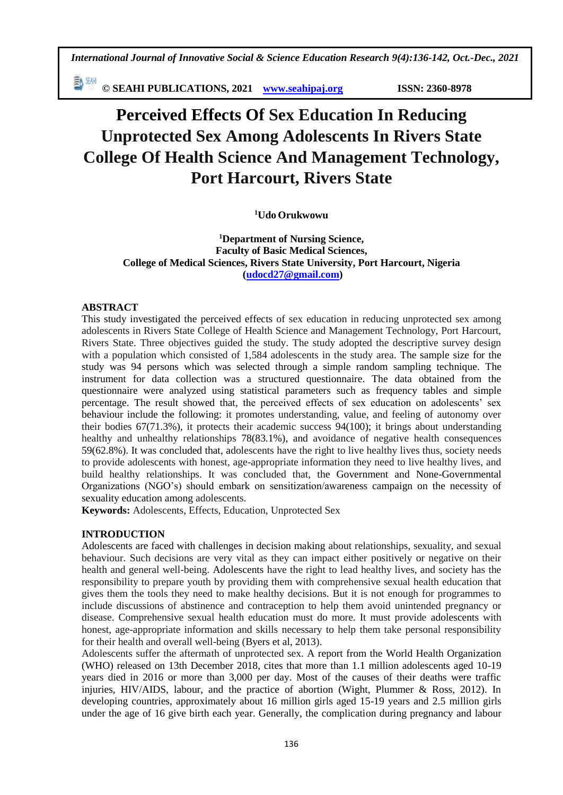*International Journal of Innovative Social & Science Education Research 9(4):136-142, Oct.-Dec., 2021*

**© SEAHI PUBLICATIONS, 2021 [www.seahipaj.org](http://www.seahipaj.org/) ISSN: 2360-8978**

# **Perceived Effects Of Sex Education In Reducing Unprotected Sex Among Adolescents In Rivers State College Of Health Science And Management Technology, Port Harcourt, Rivers State**

**<sup>1</sup>Udo Orukwowu** 

**<sup>1</sup>Department of Nursing Science, Faculty of Basic Medical Sciences, College of Medical Sciences, Rivers State University, Port Harcourt, Nigeria [\(udocd27@gmail.com\)](mailto:udocd27@gmail.com)**

# **ABSTRACT**

This study investigated the perceived effects of sex education in reducing unprotected sex among adolescents in Rivers State College of Health Science and Management Technology, Port Harcourt, Rivers State. Three objectives guided the study. The study adopted the descriptive survey design with a population which consisted of 1,584 adolescents in the study area. The sample size for the study was 94 persons which was selected through a simple random sampling technique. The instrument for data collection was a structured questionnaire. The data obtained from the questionnaire were analyzed using statistical parameters such as frequency tables and simple percentage. The result showed that, the perceived effects of sex education on adolescents' sex behaviour include the following: it promotes understanding, value, and feeling of autonomy over their bodies 67(71.3%), it protects their academic success 94(100); it brings about understanding healthy and unhealthy relationships 78(83.1%), and avoidance of negative health consequences 59(62.8%). It was concluded that, adolescents have the right to live healthy lives thus, society needs to provide adolescents with honest, age-appropriate information they need to live healthy lives, and build healthy relationships. It was concluded that, the Government and None-Governmental Organizations (NGO's) should embark on sensitization/awareness campaign on the necessity of sexuality education among adolescents.

**Keywords:** Adolescents, Effects, Education, Unprotected Sex

# **INTRODUCTION**

Adolescents are faced with challenges in decision making about relationships, sexuality, and sexual behaviour. Such decisions are very vital as they can impact either positively or negative on their health and general well-being. Adolescents have the right to lead healthy lives, and society has the responsibility to prepare youth by providing them with comprehensive sexual health education that gives them the tools they need to make healthy decisions. But it is not enough for programmes to include discussions of abstinence and contraception to help them avoid unintended pregnancy or disease. Comprehensive sexual health education must do more. It must provide adolescents with honest, age-appropriate information and skills necessary to help them take personal responsibility for their health and overall well-being (Byers et al, 2013).

Adolescents suffer the aftermath of unprotected sex. A report from the World Health Organization (WHO) released on 13th December 2018, cites that more than 1.1 million adolescents aged 10-19 years died in 2016 or more than 3,000 per day. Most of the causes of their deaths were traffic injuries, HIV/AIDS, labour, and the practice of abortion (Wight, Plummer & Ross, 2012). In developing countries, approximately about 16 million girls aged 15-19 years and 2.5 million girls under the age of 16 give birth each year. Generally, the complication during pregnancy and labour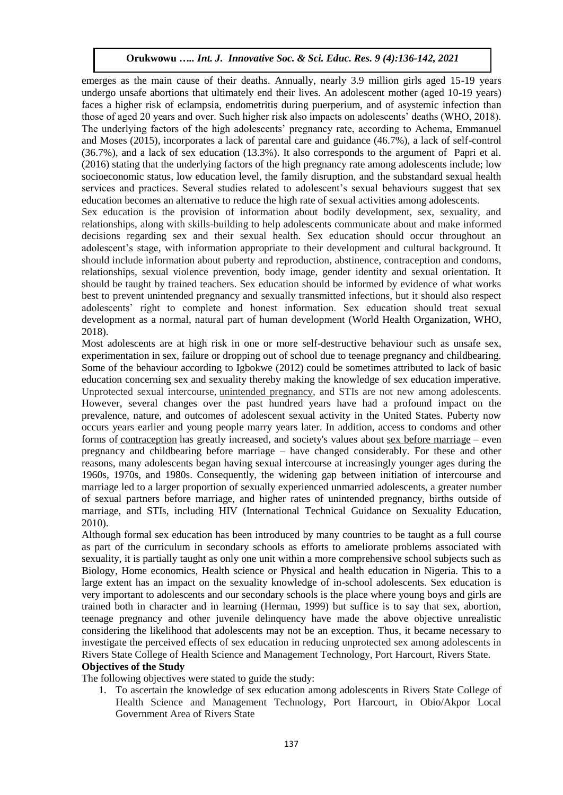emerges as the main cause of their deaths. Annually, nearly 3.9 million girls aged 15-19 years undergo unsafe abortions that ultimately end their lives. An adolescent mother (aged 10-19 years) faces a higher risk of eclampsia, endometritis during puerperium, and of asystemic infection than those of aged 20 years and over. Such higher risk also impacts on adolescents' deaths (WHO, 2018). The underlying factors of the high adolescents' pregnancy rate, according to Achema, Emmanuel and Moses (2015), incorporates a lack of parental care and guidance (46.7%), a lack of self-control (36.7%), and a lack of sex education (13.3%). It also corresponds to the argument of Papri et al. (2016) stating that the underlying factors of the high pregnancy rate among adolescents include; low socioeconomic status, low education level, the family disruption, and the substandard sexual health services and practices. Several studies related to adolescent's sexual behaviours suggest that sex education becomes an alternative to reduce the high rate of sexual activities among adolescents.

Sex education is the provision of information about bodily development, sex, sexuality, and relationships, along with skills-building to help adolescents communicate about and make informed decisions regarding sex and their sexual health. Sex education should occur throughout an adolescent's stage, with information appropriate to their development and cultural background. It should include information about puberty and reproduction, abstinence, contraception and condoms, relationships, sexual violence prevention, body image, gender identity and sexual orientation. It should be taught by trained teachers. Sex education should be informed by evidence of what works best to prevent unintended pregnancy and sexually transmitted infections, but it should also respect adolescents' right to complete and honest information. Sex education should treat sexual development as a normal, natural part of human development (World Health Organization, WHO, 2018).

Most adolescents are at high risk in one or more self-destructive behaviour such as unsafe sex, experimentation in sex, failure or dropping out of school due to teenage pregnancy and childbearing. Some of the behaviour according to Igbokwe (2012) could be sometimes attributed to lack of basic education concerning sex and sexuality thereby making the knowledge of sex education imperative. Unprotected sexual intercourse, [unintended pregnancy,](https://www.sciencedirect.com/topics/medicine-and-dentistry/unintended-pregnancy) and STIs are not new among adolescents. However, several changes over the past hundred years have had a profound impact on the prevalence, nature, and outcomes of adolescent sexual activity in the United States. Puberty now occurs years earlier and young people marry years later. In addition, access to condoms and other forms of [contraception](https://www.sciencedirect.com/topics/medicine-and-dentistry/contraception) has greatly increased, and society's values about [sex before marriage](https://www.sciencedirect.com/topics/medicine-and-dentistry/premarital-sex) – even pregnancy and childbearing before marriage – have changed considerably. For these and other reasons, many adolescents began having sexual intercourse at increasingly younger ages during the 1960s, 1970s, and 1980s. Consequently, the widening gap between initiation of intercourse and marriage led to a larger proportion of sexually experienced unmarried adolescents, a greater number of sexual partners before marriage, and higher rates of unintended pregnancy, births outside of marriage, and STIs, including HIV (International Technical Guidance on Sexuality Education, 2010).

Although formal sex education has been introduced by many countries to be taught as a full course as part of the curriculum in secondary schools as efforts to ameliorate problems associated with sexuality, it is partially taught as only one unit within a more comprehensive school subjects such as Biology, Home economics, Health science or Physical and health education in Nigeria. This to a large extent has an impact on the sexuality knowledge of in-school adolescents. Sex education is very important to adolescents and our secondary schools is the place where young boys and girls are trained both in character and in learning (Herman, 1999) but suffice is to say that sex, abortion, teenage pregnancy and other juvenile delinquency have made the above objective unrealistic considering the likelihood that adolescents may not be an exception. Thus, it became necessary to investigate the perceived effects of sex education in reducing unprotected sex among adolescents in Rivers State College of Health Science and Management Technology, Port Harcourt, Rivers State.

#### **Objectives of the Study**

The following objectives were stated to guide the study:

1. To ascertain the knowledge of sex education among adolescents in Rivers State College of Health Science and Management Technology, Port Harcourt, in Obio/Akpor Local Government Area of Rivers State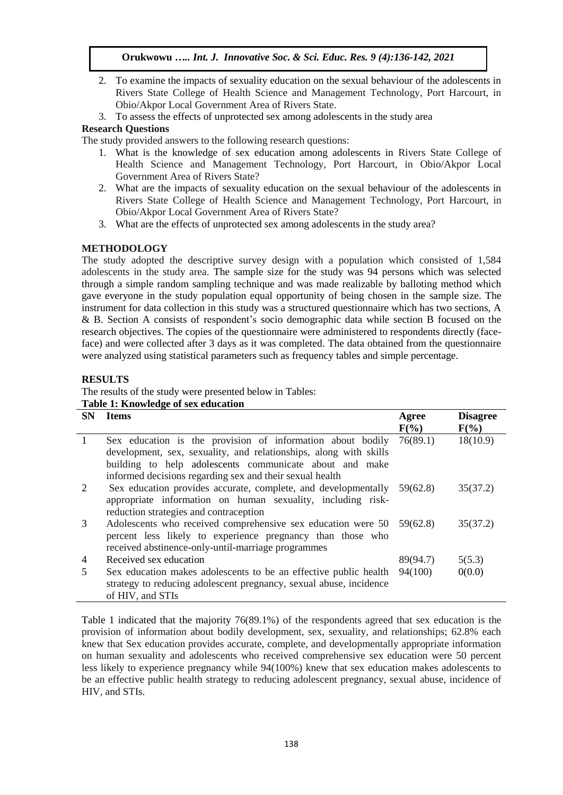- 2. To examine the impacts of sexuality education on the sexual behaviour of the adolescents in Rivers State College of Health Science and Management Technology, Port Harcourt, in Obio/Akpor Local Government Area of Rivers State.
- 3. To assess the effects of unprotected sex among adolescents in the study area

## **Research Questions**

The study provided answers to the following research questions:

- 1. What is the knowledge of sex education among adolescents in Rivers State College of Health Science and Management Technology, Port Harcourt, in Obio/Akpor Local Government Area of Rivers State?
- 2. What are the impacts of sexuality education on the sexual behaviour of the adolescents in Rivers State College of Health Science and Management Technology, Port Harcourt, in Obio/Akpor Local Government Area of Rivers State?
- 3. What are the effects of unprotected sex among adolescents in the study area?

# **METHODOLOGY**

The study adopted the descriptive survey design with a population which consisted of 1,584 adolescents in the study area. The sample size for the study was 94 persons which was selected through a simple random sampling technique and was made realizable by balloting method which gave everyone in the study population equal opportunity of being chosen in the sample size. The instrument for data collection in this study was a structured questionnaire which has two sections, A & B. Section A consists of respondent's socio demographic data while section B focused on the research objectives. The copies of the questionnaire were administered to respondents directly (faceface) and were collected after 3 days as it was completed. The data obtained from the questionnaire were analyzed using statistical parameters such as frequency tables and simple percentage.

## **RESULTS**

The results of the study were presented below in Tables: **Table 1: Knowledge of sex education**

| <b>SN</b>      | <b>Items</b>                                                                                                                                                                                                                                           | Agree<br>$F(\%)$ | <b>Disagree</b><br>$F(\%)$ |
|----------------|--------------------------------------------------------------------------------------------------------------------------------------------------------------------------------------------------------------------------------------------------------|------------------|----------------------------|
| $\overline{1}$ | Sex education is the provision of information about bodily<br>development, sex, sexuality, and relationships, along with skills<br>building to help adolescents communicate about and make<br>informed decisions regarding sex and their sexual health | 76(89.1)         | 18(10.9)                   |
| 2              | Sex education provides accurate, complete, and developmentally 59(62.8)<br>appropriate information on human sexuality, including risk-<br>reduction strategies and contraception                                                                       |                  | 35(37.2)                   |
| 3              | Adolescents who received comprehensive sex education were 50 59(62.8)<br>percent less likely to experience pregnancy than those who<br>received abstinence-only-until-marriage programmes                                                              |                  | 35(37.2)                   |
| 4              | Received sex education                                                                                                                                                                                                                                 | 89(94.7)         | 5(5.3)                     |
| 5              | Sex education makes adolescents to be an effective public health<br>strategy to reducing adolescent pregnancy, sexual abuse, incidence<br>of HIV, and STIs                                                                                             | 94(100)          | 0(0.0)                     |

Table 1 indicated that the majority 76(89.1%) of the respondents agreed that sex education is the provision of information about bodily development, sex, sexuality, and relationships; 62.8% each knew that Sex education provides accurate, complete, and developmentally appropriate information on human sexuality and adolescents who received comprehensive sex education were 50 percent less likely to experience pregnancy while 94(100%) knew that sex education makes adolescents to be an effective public health strategy to reducing adolescent pregnancy, sexual abuse, incidence of HIV, and STIs.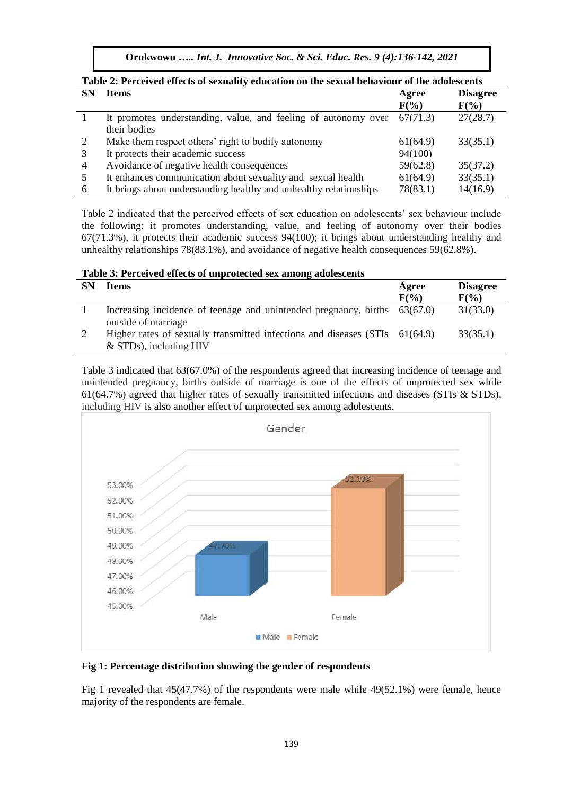**Orukwowu** *….. Int. J. Innovative Soc. & Sci. Educ. Res. 9 (4):136-142, 2021*

| Table 2. I elterved effects of sexuality education on the sexual behaviour of the adolestents |                                                                   |          |                 |  |  |
|-----------------------------------------------------------------------------------------------|-------------------------------------------------------------------|----------|-----------------|--|--|
| <b>SN</b>                                                                                     | <b>Items</b>                                                      | Agree    | <b>Disagree</b> |  |  |
|                                                                                               |                                                                   | $F(\%)$  | $F(\%)$         |  |  |
|                                                                                               | It promotes understanding, value, and feeling of autonomy over    | 67(71.3) | 27(28.7)        |  |  |
|                                                                                               | their bodies                                                      |          |                 |  |  |
|                                                                                               | Make them respect others' right to bodily autonomy                | 61(64.9) | 33(35.1)        |  |  |
|                                                                                               | It protects their academic success                                | 94(100)  |                 |  |  |
| 4                                                                                             | Avoidance of negative health consequences                         | 59(62.8) | 35(37.2)        |  |  |
|                                                                                               | It enhances communication about sexuality and sexual health       | 61(64.9) | 33(35.1)        |  |  |
| 6                                                                                             | It brings about understanding healthy and unhealthy relationships | 78(83.1) | 14(16.9)        |  |  |
|                                                                                               |                                                                   |          |                 |  |  |

**Table 2: Perceived effects of sexuality education on the sexual behaviour of the adolescents**

Table 2 indicated that the perceived effects of sex education on adolescents' sex behaviour include the following: it promotes understanding, value, and feeling of autonomy over their bodies 67(71.3%), it protects their academic success 94(100); it brings about understanding healthy and unhealthy relationships 78(83.1%), and avoidance of negative health consequences 59(62.8%).

| Table 3: Perceived effects of unprotected sex among adolescents |  |  |
|-----------------------------------------------------------------|--|--|
|-----------------------------------------------------------------|--|--|

| <b>SN</b> | <b>Items</b>                                                                                            | Agree<br>$F(\frac{6}{6})$ | <b>Disagree</b><br>$F(\%)$ |
|-----------|---------------------------------------------------------------------------------------------------------|---------------------------|----------------------------|
|           | Increasing incidence of teenage and unintended pregnancy, births 63(67.0)<br>outside of marriage        |                           | 31(33.0)                   |
|           | Higher rates of sexually transmitted infections and diseases (STIs 61(64.9)<br>$&$ STDs), including HIV |                           | 33(35.1)                   |

Table 3 indicated that 63(67.0%) of the respondents agreed that increasing incidence of teenage and unintended pregnancy, births outside of marriage is one of the effects of unprotected sex while 61(64.7%) agreed that higher rates of sexually transmitted infections and diseases (STIs & STDs), including HIV is also another effect of unprotected sex among adolescents.



### **Fig 1: Percentage distribution showing the gender of respondents**

Fig 1 revealed that 45(47.7%) of the respondents were male while 49(52.1%) were female, hence majority of the respondents are female.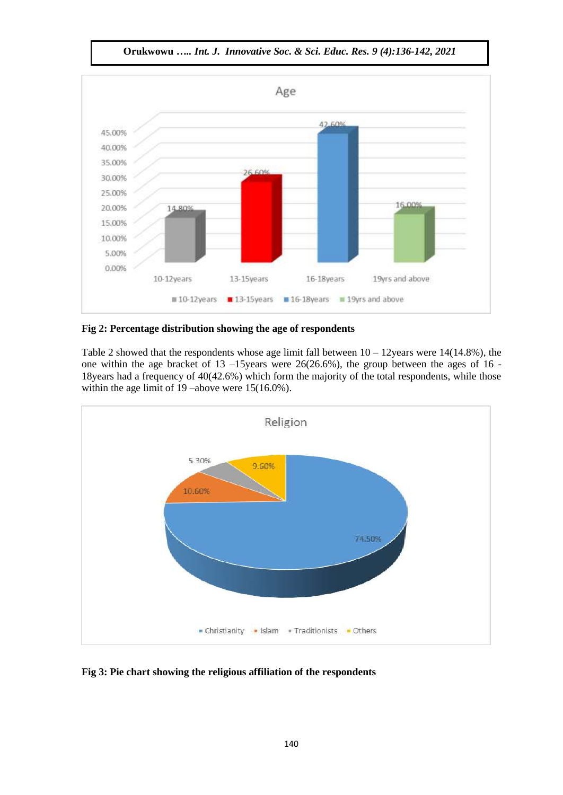

**Orukwowu** *….. Int. J. Innovative Soc. & Sci. Educ. Res. 9 (4):136-142, 2021*

## **Fig 2: Percentage distribution showing the age of respondents**

Table 2 showed that the respondents whose age limit fall between  $10 - 12$ years were 14(14.8%), the one within the age bracket of 13 –15years were 26(26.6%), the group between the ages of 16 - 18years had a frequency of 40(42.6%) which form the majority of the total respondents, while those within the age limit of 19 –above were 15(16.0%).



**Fig 3: Pie chart showing the religious affiliation of the respondents**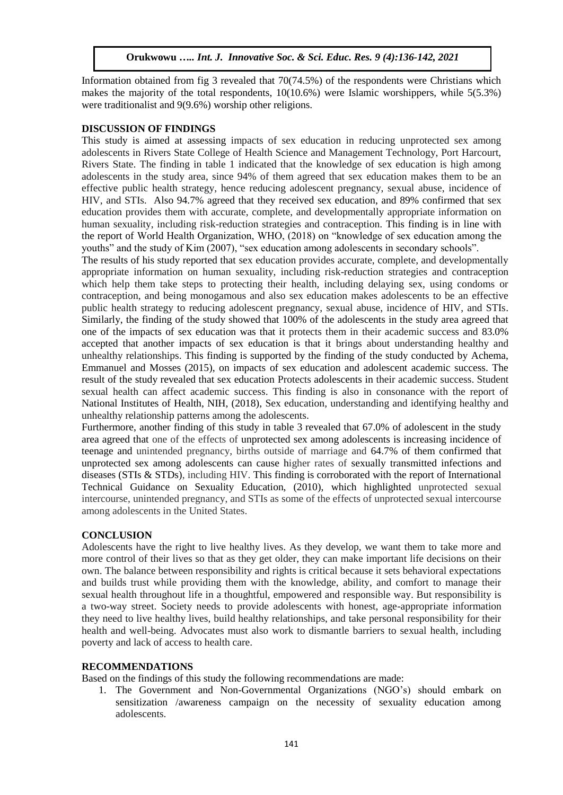Information obtained from fig 3 revealed that  $70(74.5%)$  of the respondents were Christians which makes the majority of the total respondents,  $10(10.6%)$  were Islamic worshippers, while  $5(5.3%)$ were traditionalist and 9(9.6%) worship other religions.

#### **DISCUSSION OF FINDINGS**

This study is aimed at assessing impacts of sex education in reducing unprotected sex among adolescents in Rivers State College of Health Science and Management Technology, Port Harcourt, Rivers State. The finding in table 1 indicated that the knowledge of sex education is high among adolescents in the study area, since 94% of them agreed that sex education makes them to be an effective public health strategy, hence reducing adolescent pregnancy, sexual abuse, incidence of HIV, and STIs. Also 94.7% agreed that they received sex education, and 89% confirmed that sex education provides them with accurate, complete, and developmentally appropriate information on human sexuality, including risk-reduction strategies and contraception. This finding is in line with the report of World Health Organization, WHO, (2018) on "knowledge of sex education among the youths" and the study of Kim (2007), "sex education among adolescents in secondary schools".

The results of his study reported that sex education provides accurate, complete, and developmentally appropriate information on human sexuality, including risk-reduction strategies and contraception which help them take steps to protecting their health, including delaying sex, using condoms or contraception, and being monogamous and also sex education makes adolescents to be an effective public health strategy to reducing adolescent pregnancy, sexual abuse, incidence of HIV, and STIs. Similarly, the finding of the study showed that 100% of the adolescents in the study area agreed that one of the impacts of sex education was that it protects them in their academic success and 83.0% accepted that another impacts of sex education is that it brings about understanding healthy and unhealthy relationships. This finding is supported by the finding of the study conducted by Achema, Emmanuel and Mosses (2015), on impacts of sex education and adolescent academic success. The result of the study revealed that sex education Protects adolescents in their academic success. Student sexual health can affect academic success. This finding is also in consonance with the report of National Institutes of Health, NIH, (2018), Sex education, understanding and identifying healthy and unhealthy relationship patterns among the adolescents.

Furthermore, another finding of this study in table 3 revealed that 67.0% of adolescent in the study area agreed that one of the effects of unprotected sex among adolescents is increasing incidence of teenage and unintended pregnancy, births outside of marriage and 64.7% of them confirmed that unprotected sex among adolescents can cause higher rates of sexually transmitted infections and diseases (STIs & STDs), including HIV. This finding is corroborated with the report of International Technical Guidance on Sexuality Education, (2010), which highlighted unprotected sexual intercourse, [unintended pregnancy,](https://www.sciencedirect.com/topics/medicine-and-dentistry/unintended-pregnancy) and STIs as some of the effects of unprotected sexual intercourse among adolescents in the United States.

#### **CONCLUSION**

Adolescents have the right to live healthy lives. As they develop, we want them to take more and more control of their lives so that as they get older, they can make important life decisions on their own. The balance between responsibility and rights is critical because it sets behavioral expectations and builds trust while providing them with the knowledge, ability, and comfort to manage their sexual health throughout life in a thoughtful, empowered and responsible way. But responsibility is a two-way street. Society needs to provide adolescents with honest, age-appropriate information they need to live healthy lives, build healthy relationships, and take personal responsibility for their health and well-being. Advocates must also work to dismantle barriers to sexual health, including poverty and lack of access to health care.

## **RECOMMENDATIONS**

Based on the findings of this study the following recommendations are made:

1. The Government and Non-Governmental Organizations (NGO's) should embark on sensitization /awareness campaign on the necessity of sexuality education among adolescents.